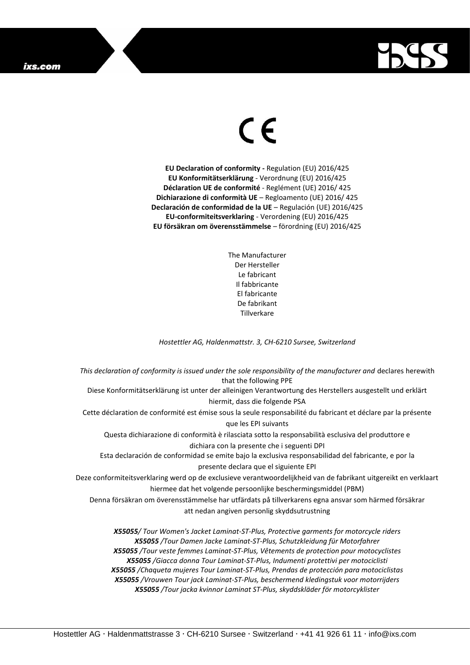## ixs.com



## $\epsilon$

**EU Declaration of conformity -** Regulation (EU) 2016/425 **EU Konformitätserklärung** - Verordnung (EU) 2016/425 **Déclaration UE de conformité** - Reglément (UE) 2016/ 425 **Dichiarazione di conformità UE** – Regloamento (UE) 2016/ 425 **Declaración de conformidad de la UE** – Regulación (UE) 2016/425 **EU-conformiteitsverklaring** - Verordening (EU) 2016/425 **EU försäkran om överensstämmelse** – förordning (EU) 2016/425

> The Manufacturer Der Hersteller Le fabricant Il fabbricante El fabricante De fabrikant **Tillverkare**

*Hostettler AG, Haldenmattstr. 3, CH-6210 Sursee, Switzerland*

*This declaration of conformity is issued under the sole responsibility of the manufacturer and* declares herewith that the following PPE Diese Konformitätserklärung ist unter der alleinigen Verantwortung des Herstellers ausgestellt und erklärt hiermit, dass die folgende PSA Cette déclaration de conformité est émise sous la seule responsabilité du fabricant et déclare par la présente que les EPI suivants Questa dichiarazione di conformità è rilasciata sotto la responsabilità esclusiva del produttore e dichiara con la presente che i seguenti DPI Esta declaración de conformidad se emite bajo la exclusiva responsabilidad del fabricante, e por la presente declara que el siguiente EPI Deze conformiteitsverklaring werd op de exclusieve verantwoordelijkheid van de fabrikant uitgereikt en verklaart hiermee dat het volgende persoonlijke beschermingsmiddel (PBM) Denna försäkran om överensstämmelse har utfärdats på tillverkarens egna ansvar som härmed försäkrar att nedan angiven personlig skyddsutrustning *X55055/ Tour Women's Jacket Laminat-ST-Plus, Protective garments for motorcycle riders X55055 /Tour Damen Jacke Laminat-ST-Plus, Schutzkleidung für Motorfahrer X55055 /Tour veste femmes Laminat-ST-Plus, Vêtements de protection pour motocyclistes X55055 /Giacca donna Tour Laminat-ST-Plus, Indumenti protettivi per motociclisti*

*X55055 /Chaqueta mujeres Tour Laminat-ST-Plus, Prendas de protección para motociclistas X55055 /Vrouwen Tour jack Laminat-ST-Plus, beschermend kledingstuk voor motorrijders X55055 /Tour jacka kvinnor Laminat ST-Plus, skyddskläder för motorcyklister*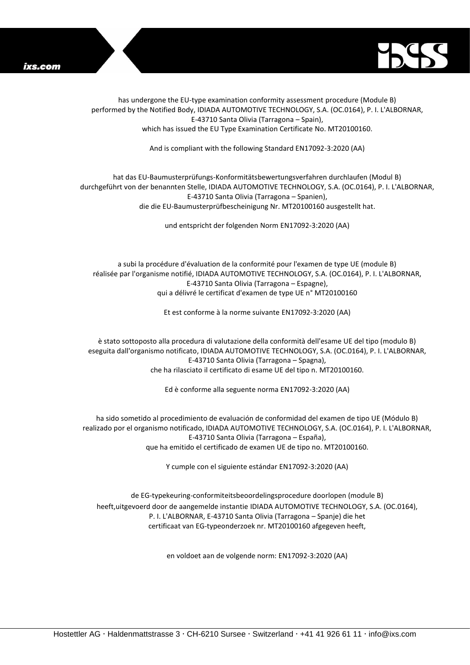



has undergone the EU-type examination conformity assessment procedure (Module B) performed by the Notified Body, IDIADA AUTOMOTIVE TECHNOLOGY, S.A. (OC.0164), P. I. L'ALBORNAR, E-43710 Santa Olivia (Tarragona – Spain), which has issued the EU Type Examination Certificate No. MT20100160.

And is compliant with the following Standard EN17092-3:2020 (AA)

## hat das EU-Baumusterprüfungs-Konformitätsbewertungsverfahren durchlaufen (Modul B) durchgeführt von der benannten Stelle, IDIADA AUTOMOTIVE TECHNOLOGY, S.A. (OC.0164), P. I. L'ALBORNAR, E-43710 Santa Olivia (Tarragona – Spanien), die die EU-Baumusterprüfbescheinigung Nr. MT20100160 ausgestellt hat.

und entspricht der folgenden Norm EN17092-3:2020 (AA)

a subi la procédure d'évaluation de la conformité pour l'examen de type UE (module B) réalisée par l'organisme notifié, IDIADA AUTOMOTIVE TECHNOLOGY, S.A. (OC.0164), P. I. L'ALBORNAR, E-43710 Santa Olivia (Tarragona – Espagne), qui a délivré le certificat d'examen de type UE n° MT20100160

Et est conforme à la norme suivante EN17092-3:2020 (AA)

è stato sottoposto alla procedura di valutazione della conformità dell'esame UE del tipo (modulo B) eseguita dall'organismo notificato, IDIADA AUTOMOTIVE TECHNOLOGY, S.A. (OC.0164), P. I. L'ALBORNAR, E-43710 Santa Olivia (Tarragona – Spagna), che ha rilasciato il certificato di esame UE del tipo n. MT20100160.

Ed è conforme alla seguente norma EN17092-3:2020 (AA)

ha sido sometido al procedimiento de evaluación de conformidad del examen de tipo UE (Módulo B) realizado por el organismo notificado, IDIADA AUTOMOTIVE TECHNOLOGY, S.A. (OC.0164), P. I. L'ALBORNAR, E-43710 Santa Olivia (Tarragona – España), que ha emitido el certificado de examen UE de tipo no. MT20100160.

Y cumple con el siguiente estándar EN17092-3:2020 (AA)

de EG-typekeuring-conformiteitsbeoordelingsprocedure doorlopen (module B) heeft,uitgevoerd door de aangemelde instantie IDIADA AUTOMOTIVE TECHNOLOGY, S.A. (OC.0164), P. I. L'ALBORNAR, E-43710 Santa Olivia (Tarragona – Spanje) die het certificaat van EG-typeonderzoek nr. MT20100160 afgegeven heeft,

en voldoet aan de volgende norm: EN17092-3:2020 (AA)